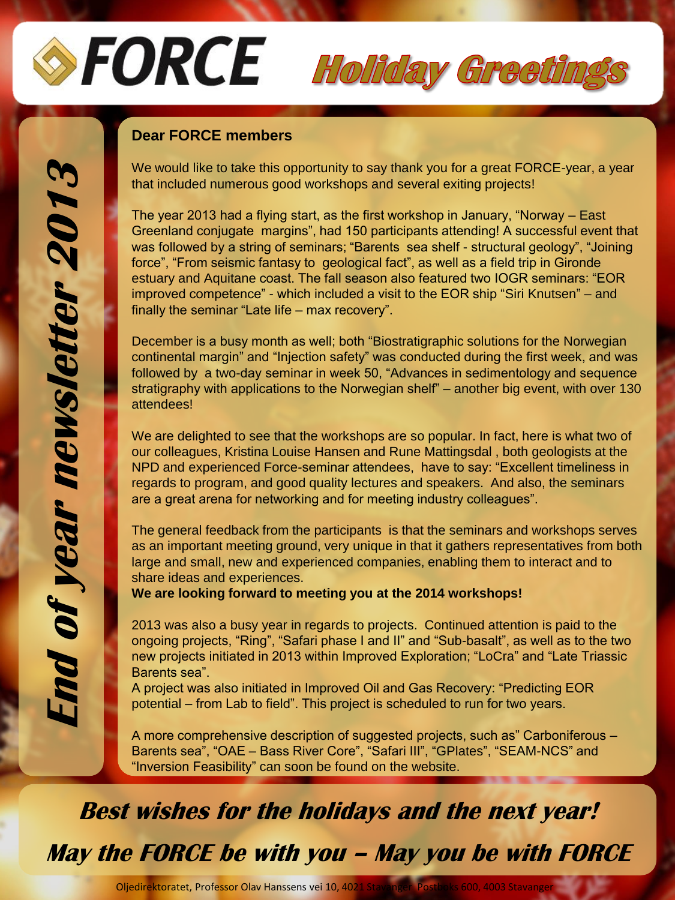# SFORCE Holiday Greetings

#### **Dear FORCE members**

We would like to take this opportunity to say thank you for a great FORCE-year, a year that included numerous good workshops and several exiting projects!

The year 2013 had a flying start, as the first workshop in January, "Norway – East Greenland conjugate margins", had 150 participants attending! A successful event that was followed by a string of seminars; "Barents sea shelf - structural geology", "Joining force", "From seismic fantasy to geological fact", as well as a field trip in Gironde estuary and Aquitane coast. The fall season also featured two IOGR seminars: "EOR improved competence" - which included a visit to the EOR ship "Siri Knutsen" – and finally the seminar "Late life – max recovery".

December is a busy month as well; both "Biostratigraphic solutions for the Norwegian continental margin" and "Injection safety" was conducted during the first week, and was followed by a two-day seminar in week 50, "Advances in sedimentology and sequence stratigraphy with applications to the Norwegian shelf" – another big event, with over 130 attendees!

We are delighted to see that the workshops are so popular. In fact, here is what two of our colleagues, Kristina Louise Hansen and Rune Mattingsdal , both geologists at the NPD and experienced Force-seminar attendees, have to say: "Excellent timeliness in regards to program, and good quality lectures and speakers. And also, the seminars are a great arena for networking and for meeting industry colleagues".

The general feedback from the participants is that the seminars and workshops serves as an important meeting ground, very unique in that it gathers representatives from both large and small, new and experienced companies, enabling them to interact and to share ideas and experiences.

**We are looking forward to meeting you at the 2014 workshops!**

2013 was also a busy year in regards to projects. Continued attention is paid to the ongoing projects, "Ring", "Safari phase I and II" and "Sub-basalt", as well as to the two new projects initiated in 2013 within Improved Exploration; "LoCra" and "Late Triassic Barents sea".

A project was also initiated in Improved Oil and Gas Recovery: "Predicting EOR potential – from Lab to field". This project is scheduled to run for two years.

A more comprehensive description of suggested projects, such as" Carboniferous – Barents sea", "OAE – Bass River Core", "Safari III", "GPlates", "SEAM-NCS" and "Inversion Feasibility" can soon be found on the website.

**Best wishes for the holidays and the next year!**

**May the FORCE be with you – May you be with FORCE**

Oljedirektoratet, Professor Olav Hanssens vei 10, 4021 Sta